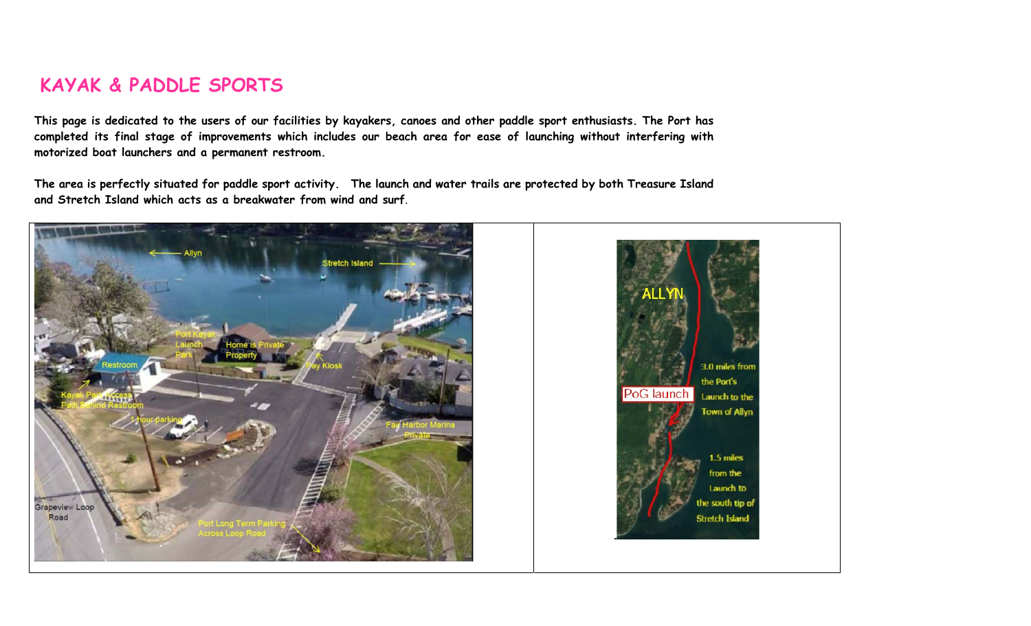## KAYAK & PADDLE SPORTS

This page is dedicated to the users of our facilities by kayakers, canoes and other paddle sport enthusiasts. The Port has completed its final stage of improvements which includes our beach area for ease of launching without interfering with motorized boat launchers and a permanent restroom.

The area is perfectly situated for paddle sport activity. The launch and water trails are protected by both Treasure Island and Stretch Island which acts as a breakwater from wind and surf.

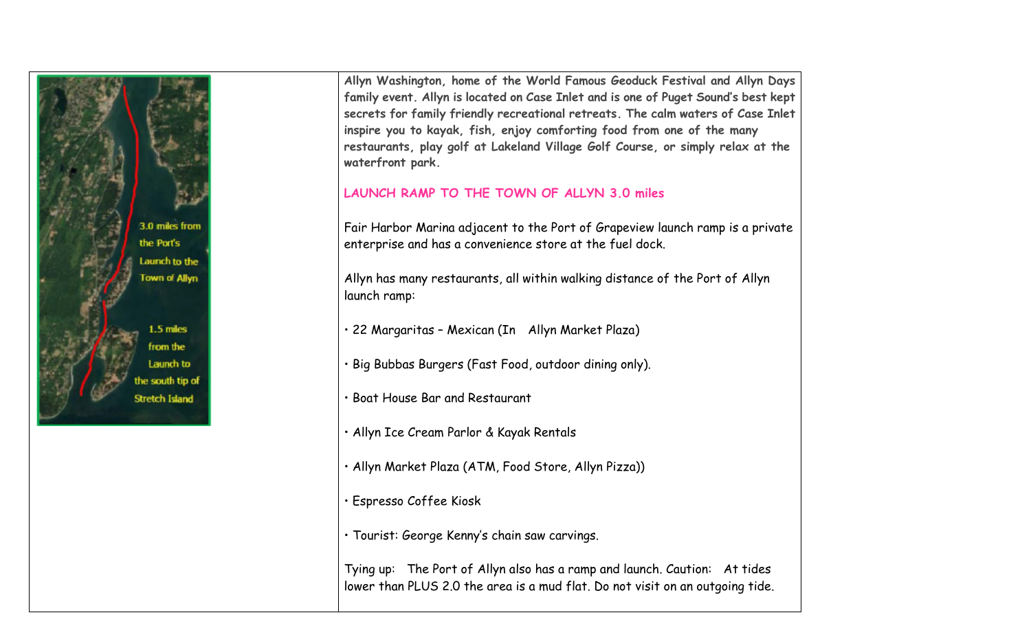

Allyn Washington, home of the World Famous Geoduck Festival and Allyn Days family event. Allyn is located on Case Inlet and is one of Puget Sound's best kept secrets for family friendly recreational retreats. The calm waters of Case Inlet inspire you to kayak, fish, enjoy comforting food from one of the many restaurants, play golf at Lakeland Village Golf Course, or simply relax at the waterfront park.

## LAUNCH RAMP TO THE TOWN OF ALLYN 3.0 miles

Fair Harbor Marina adjacent to the Port of Grapeview launch ramp is a private enterprise and has a convenience store at the fuel dock.

Allyn has many restaurants, all within walking distance of the Port of Allyn launch ramp:

• 22 Margaritas – Mexican (In Allyn Market Plaza)

- Big Bubbas Burgers (Fast Food, outdoor dining only).
- Boat House Bar and Restaurant
- Allyn Ice Cream Parlor & Kayak Rentals
- Allyn Market Plaza (ATM, Food Store, Allyn Pizza))
- Espresso Coffee Kiosk
- Tourist: George Kenny's chain saw carvings.

Tying up: The Port of Allyn also has a ramp and launch. Caution: At tides lower than PLUS 2.0 the area is a mud flat. Do not visit on an outgoing tide.